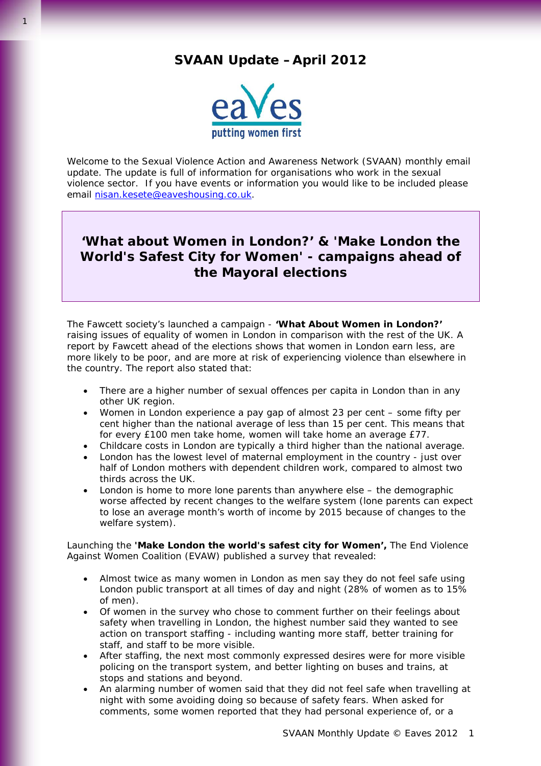# **SVAAN Update –April 2012**



Welcome to the Sexual Violence Action and Awareness Network (SVAAN) monthly email update. The update is full of information for organisations who work in the sexual violence sector. If you have events or information you would like to be included please email [nisan.kesete@eaveshousing.co.uk.](mailto:nisan.kesete@eaveshousing.co.uk)

# **'***What about Women in London?'* **&** *'Make London the World's Safest City for Women'* **- campaigns ahead of the Mayoral elections**

The Fawcett society's launched a campaign - *'What About Women in London?'*  raising issues of equality of women in London in comparison with the rest of the UK. A report by Fawcett ahead of the elections shows that women in London earn less, are more likely to be poor, and are more at risk of experiencing violence than elsewhere in the country. The report also stated that:

- There are a higher number of sexual offences per capita in London than in any other UK region.
- Women in London experience a pay gap of almost 23 per cent some fifty per cent higher than the national average of less than 15 per cent. This means that for every £100 men take home, women will take home an average £77.
- Childcare costs in London are typically a third higher than the national average.
- London has the lowest level of maternal employment in the country just over half of London mothers with dependent children work, compared to almost two thirds across the UK.
- London is home to more lone parents than anywhere else the demographic worse affected by recent changes to the welfare system (lone parents can expect to lose an average month's worth of income by 2015 because of changes to the welfare system).

Launching the *'Make London the world's safest city for Women',* The End Violence Against Women Coalition (EVAW) published a survey that revealed:

- Almost twice as many women in London as men say they do not feel safe using London public transport at all times of day and night (28% of women as to 15% of men).
- Of women in the survey who chose to comment further on their feelings about safety when travelling in London, the highest number said they wanted to see action on transport staffing - including wanting more staff, better training for staff, and staff to be more visible.
- After staffing, the next most commonly expressed desires were for more visible policing on the transport system, and better lighting on buses and trains, at stops and stations and beyond.
- An alarming number of women said that they did not feel safe when travelling at night with some avoiding doing so because of safety fears. When asked for comments, some women reported that they had personal experience of, or a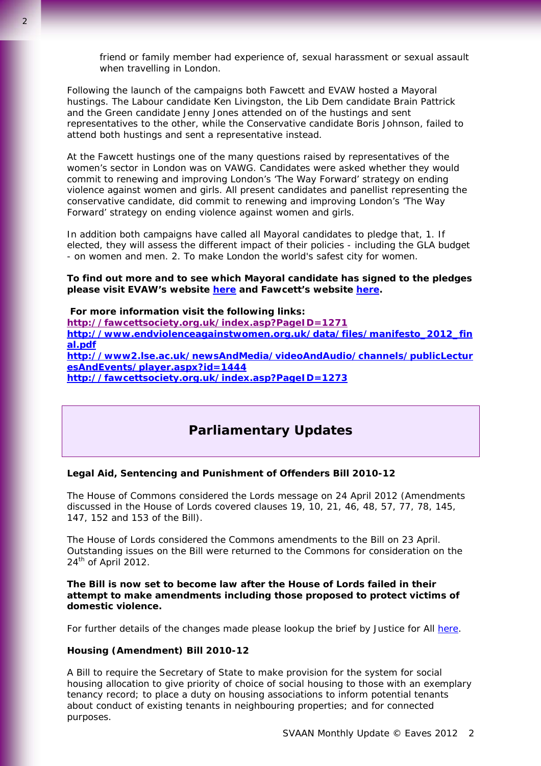friend or family member had experience of, sexual harassment or sexual assault when travelling in London.

Following the launch of the campaigns both Fawcett and EVAW hosted a Mayoral hustings. The Labour candidate Ken Livingston, the Lib Dem candidate Brain Pattrick and the Green candidate Jenny Jones attended on of the hustings and sent representatives to the other, while the Conservative candidate Boris Johnson, failed to attend both hustings and sent a representative instead.

At the Fawcett hustings one of the many questions raised by representatives of the women's sector in London was on VAWG. Candidates were asked whether they would commit to renewing and improving London's 'The Way Forward' strategy on ending violence against women and girls. All present candidates and panellist representing the conservative candidate, did commit to renewing and improving London's 'The Way Forward' strategy on ending violence against women and girls.

In addition both campaigns have called all Mayoral candidates to pledge that, 1. If elected, they will assess the different impact of their policies - including the GLA budget - on women and men. 2. To make London the world's safest city for women.

**To find out more and to see which Mayoral candidate has signed to the pledges please visit EVAW's website [here](http://www.endviolenceagainstwomen.org.uk/pages/london_elections_may_2012.html) and Fawcett's website [here](http://www.fawcettsociety.org.uk/index.asp?PageID=1274).** 

 **For more information visit the following links: http://fawcettsociety.org.uk/index.asp?PageID=1271 [http://www.endviolenceagainstwomen.org.uk/data/files/manifesto\\_2012\\_fin](http://www.endviolenceagainstwomen.org.uk/data/files/manifesto_2012_final.pdf) [al.pdf](http://www.endviolenceagainstwomen.org.uk/data/files/manifesto_2012_final.pdf) [http://www2.lse.ac.uk/newsAndMedia/videoAndAudio/channels/publicLectur](http://www2.lse.ac.uk/newsAndMedia/videoAndAudio/channels/publicLecturesAndEvents/player.aspx?id=1444) [esAndEvents/player.aspx?id=1444](http://www2.lse.ac.uk/newsAndMedia/videoAndAudio/channels/publicLecturesAndEvents/player.aspx?id=1444) <http://fawcettsociety.org.uk/index.asp?PageID=1273>**

# **Parliamentary Updates**

### **Legal Aid, Sentencing and Punishment of Offenders Bill 2010-12**

The House of Commons considered the Lords message on 24 April 2012 (Amendments discussed in the House of Lords covered clauses 19, 10, 21, 46, 48, 57, 77, 78, 145, 147, 152 and 153 of the Bill).

The House of Lords considered the Commons amendments to the Bill on 23 April. Outstanding issues on the Bill were returned to the Commons for consideration on the 24<sup>th</sup> of April 2012.

**The Bill is now set to become law after the House of Lords failed in their attempt to make amendments including those proposed to protect victims of domestic violence.**

For further details of the changes made please lookup the brief by Justice for All [here](http://us2.campaign-archive2.com/?u=bd470ef694ed0b224099a0aa5&id=8924e3e86c&e=e980a67902).

#### **Housing (Amendment) Bill 2010-12**

A Bill to require the Secretary of State to make provision for the system for social housing allocation to give priority of choice of social housing to those with an exemplary tenancy record; to place a duty on housing associations to inform potential tenants about conduct of existing tenants in neighbouring properties; and for connected purposes.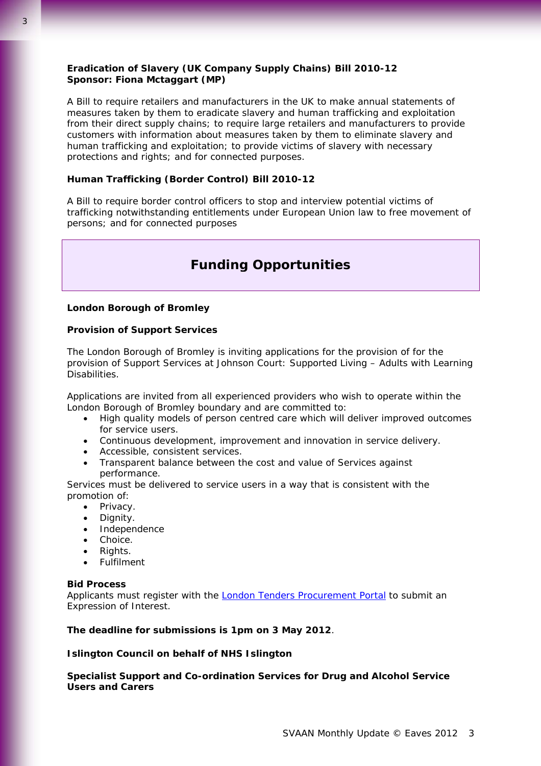# **Eradication of Slavery (UK Company Supply Chains) Bill 2010-12 Sponsor: Fiona Mctaggart (MP)**

A Bill to require retailers and manufacturers in the UK to make annual statements of measures taken by them to eradicate slavery and human trafficking and exploitation from their direct supply chains; to require large retailers and manufacturers to provide customers with information about measures taken by them to eliminate slavery and human trafficking and exploitation; to provide victims of slavery with necessary protections and rights; and for connected purposes.

# **Human Trafficking (Border Control) Bill 2010-12**

A Bill to require border control officers to stop and interview potential victims of trafficking notwithstanding entitlements under European Union law to free movement of persons; and for connected purposes

# **Funding Opportunities**

#### **London Borough of Bromley**

#### **Provision of Support Services**

The London Borough of Bromley is inviting applications for the provision of for the provision of Support Services at Johnson Court: Supported Living – Adults with Learning Disabilities.

Applications are invited from all experienced providers who wish to operate within the London Borough of Bromley boundary and are committed to:

- High quality models of person centred care which will deliver improved outcomes for service users.
- Continuous development, improvement and innovation in service delivery.
- Accessible, consistent services.
- Transparent balance between the cost and value of Services against performance.

Services must be delivered to service users in a way that is consistent with the promotion of:

- Privacy.
- Dignity.
- Independence
- Choice.
- Rights.
- Fulfilment

# **Bid Process**

Applicants must register with the [London Tenders Procurement Portal](https://www.londontenders.org/procontract/supplier.nsf/frm_opportunity?openForm&opp_id=OPP-HIS-DNWC-8SZHTF&search_id=PLAN-SCHDNWC-8T8BMW&contract_id=CONTRACT-DNWC-8SSDT9&org_id=ORG-DNWB-7VNCS8&from=) to submit an Expression of Interest.

**The deadline for submissions is 1pm on 3 May 2012**.

#### **Islington Council on behalf of NHS Islington**

**Specialist Support and Co-ordination Services for Drug and Alcohol Service Users and Carers**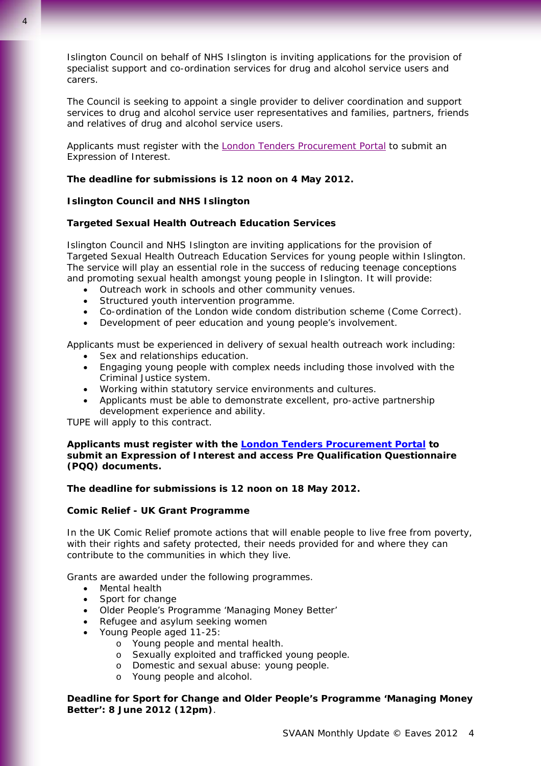Islington Council on behalf of NHS Islington is inviting applications for the provision of specialist support and co-ordination services for drug and alcohol service users and carers.

The Council is seeking to appoint a single provider to deliver coordination and support services to drug and alcohol service user representatives and families, partners, friends and relatives of drug and alcohol service users.

Applicants must register with the **London Tenders Procurement Portal to submit an** Expression of Interest.

### **The deadline for submissions is 12 noon on 4 May 2012.**

#### **Islington Council and NHS Islington**

# **Targeted Sexual Health Outreach Education Services**

Islington Council and NHS Islington are inviting applications for the provision of Targeted Sexual Health Outreach Education Services for young people within Islington. The service will play an essential role in the success of reducing teenage conceptions and promoting sexual health amongst young people in Islington. It will provide:

- Outreach work in schools and other community venues.
- Structured youth intervention programme.
- Co-ordination of the London wide condom distribution scheme (Come Correct).
- Development of peer education and young people's involvement.

Applicants must be experienced in delivery of sexual health outreach work including:

- Sex and relationships education.
- Engaging young people with complex needs including those involved with the Criminal Justice system.
- Working within statutory service environments and cultures.
- Applicants must be able to demonstrate excellent, pro-active partnership development experience and ability.

TUPE will apply to this contract.

**Applicants must register with the [London Tenders Procurement Portal](https://www.londontenders.org/procontract/supplier.nsf/frm_opportunity?openForm&opp_id=OPP-HIS-DNWC-8TJESG&search_id=PLAN-SCHDNWC-8TMAFE&contract_id=CONTRACT-DNWC-8THKR4&org_id=ORG-DNWB-74JHMQ&from=) to submit an Expression of Interest and access Pre Qualification Questionnaire (PQQ) documents.** 

#### **The deadline for submissions is 12 noon on 18 May 2012.**

#### **Comic Relief - UK Grant Programme**

In the UK Comic Relief promote actions that will enable people to live free from poverty, with their rights and safety protected, their needs provided for and where they can contribute to the communities in which they live.

Grants are awarded under the following programmes.

- Mental health
- Sport for change
- Older People's Programme 'Managing Money Better'
- Refugee and asylum seeking women
- Young People aged 11-25:
	- o Young people and mental health.
	- o Sexually exploited and trafficked young people.
	- o Domestic and sexual abuse: young people.
	- o Young people and alcohol.

**Deadline for Sport for Change and Older People's Programme 'Managing Money Better': 8 June 2012 (12pm)**.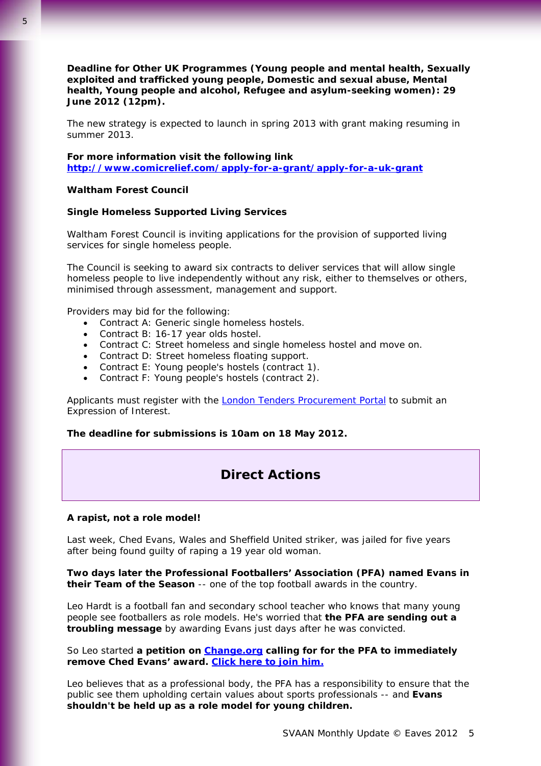**Deadline for Other UK Programmes (Young people and mental health, Sexually exploited and trafficked young people, Domestic and sexual abuse, Mental health, Young people and alcohol, Refugee and asylum-seeking women): 29 June 2012 (12pm).** 

The new strategy is expected to launch in spring 2013 with grant making resuming in summer 2013.

**For more information visit the following link <http://www.comicrelief.com/apply-for-a-grant/apply-for-a-uk-grant>**

# **Waltham Forest Council**

#### **Single Homeless Supported Living Services**

Waltham Forest Council is inviting applications for the provision of supported living services for single homeless people.

The Council is seeking to award six contracts to deliver services that will allow single homeless people to live independently without any risk, either to themselves or others, minimised through assessment, management and support.

Providers may bid for the following:

- Contract A: Generic single homeless hostels.
- Contract B: 16-17 year olds hostel.
- Contract C: Street homeless and single homeless hostel and move on.
- Contract D: Street homeless floating support.
- Contract E: Young people's hostels (contract 1).
- Contract F: Young people's hostels (contract 2).

Applicants must register with the **London Tenders Procurement Portal** to submit an Expression of Interest.

**The deadline for submissions is 10am on 18 May 2012.** 

# **Direct Actions**

#### **A rapist, not a role model!**

Last week, Ched Evans, Wales and Sheffield United striker, was jailed for five years after being found guilty of raping a 19 year old woman.

**Two days later the Professional Footballers' Association (PFA) named Evans in their Team of the Season** -- one of the top football awards in the country.

Leo Hardt is a football fan and secondary school teacher who knows that many young people see footballers as role models. He's worried that **the PFA are sending out a troubling message** by awarding Evans just days after he was convicted.

So Leo started **a petition on [Change.org](http://www.change.org/petitions/professional-footballers-association-drop-ched-evans-from-the-league-one-team-of-the-year-honours-list?utm_source=action_alert&utm_medium=email&me=aa&utm_campaign=lLtPzTVTzX&alert_id=lLtPzTVTzX_WYXyvLNYFg) calling for for the PFA to immediately remove Ched Evans' award. [Click here to](http://www.change.org/petitions/professional-footballers-association-drop-ched-evans-from-the-league-one-team-of-the-year-honours-list?utm_source=action_alert&utm_medium=email&me=aa&utm_campaign=lLtPzTVTzX&alert_id=lLtPzTVTzX_WYXyvLNYFg) join him.**

Leo believes that as a professional body, the PFA has a responsibility to ensure that the public see them upholding certain values about sports professionals -- and **Evans shouldn't be held up as a role model for young children.**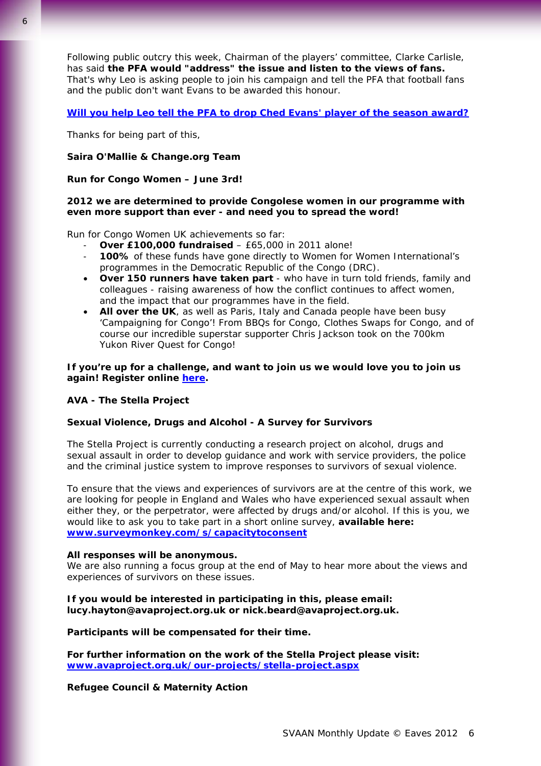Following public outcry this week, Chairman of the players' committee, Clarke Carlisle, has said **the PFA would "address" the issue and listen to the views of fans.** That's why Leo is asking people to join his campaign and tell the PFA that football fans and the public don't want Evans to be awarded this honour.

### **[Will you help Leo tell the PFA to drop Ched Evans' player of the season award?](http://www.change.org/petitions/professional-footballers-association-drop-ched-evans-from-the-league-one-team-of-the-year-honours-list?utm_source=action_alert&utm_medium=email&me=aa&utm_campaign=lLtPzTVTzX&alert_id=lLtPzTVTzX_WYXyvLNYFg)**

Thanks for being part of this,

#### **Saira O'Mallie & Change.org Team**

#### **Run for Congo Women – June 3rd!**

### **2012 we are determined to provide Congolese women in our programme with even more support than ever - and need you to spread the word!**

Run for Congo Women UK achievements so far:

- **Over £100,000 fundraised** £65,000 in 2011 alone!
- **100%** of these funds have gone directly to Women for Women International's programmes in the Democratic Republic of the Congo (DRC).
- **Over 150 runners have taken part** who have in turn told friends, family and colleagues - raising awareness of how the conflict continues to affect women, and the impact that our programmes have in the field.
- **All over the UK**, as well as Paris, Italy and Canada people have been busy 'Campaigning for Congo'! From BBQs for Congo, Clothes Swaps for Congo, and of course our incredible superstar supporter Chris Jackson took on the 700km Yukon River Quest for Congo!

### **If you're up for a challenge, and want to join us we would love you to join us again! Register online [here.](http://www.womenforwomen.org.uk/help-women/run-for-congo-women-london.php)**

#### **AVA - The Stella Project**

#### **Sexual Violence, Drugs and Alcohol - A Survey for Survivors**

The Stella Project is currently conducting a research project on alcohol, drugs and sexual assault in order to develop guidance and work with service providers, the police and the criminal justice system to improve responses to survivors of sexual violence.

To ensure that the views and experiences of survivors are at the centre of this work, we are looking for people in England and Wales who have experienced sexual assault when either they, or the perpetrator, were affected by drugs and/or alcohol. If this is you, we would like to ask you to take part in a short online survey, **available here: [www.surveymonkey.com/s/capacitytoconsent](http://www.surveymonkey.com/s/capacitytoconsent)**

#### **All responses will be anonymous.**

We are also running a focus group at the end of May to hear more about the views and experiences of survivors on these issues.

### **If you would be interested in participating in this, please email: lucy.hayton@avaproject.org.uk or nick.beard@avaproject.org.uk.**

#### **Participants will be compensated for their time.**

**For further information on the work of the Stella Project please visit: [www.avaproject.org.uk/our-projects/stella-project.aspx](http://www.avaproject.org.uk/our-projects/stella-project.aspx)**

#### **Refugee Council & Maternity Action**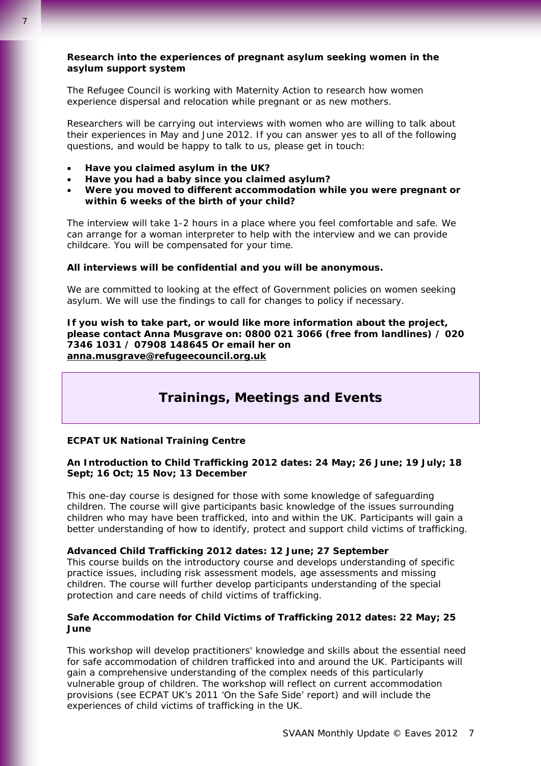# **Research into the experiences of pregnant asylum seeking women in the asylum support system**

The Refugee Council is working with Maternity Action to research how women experience dispersal and relocation while pregnant or as new mothers.

Researchers will be carrying out interviews with women who are willing to talk about their experiences in May and June 2012. If you can answer yes to all of the following questions, and would be happy to talk to us, please get in touch:

- **Have you claimed asylum in the UK?**
- **Have you had a baby since you claimed asylum?**
- **Were you moved to different accommodation while you were pregnant or within 6 weeks of the birth of your child?**

The interview will take 1-2 hours in a place where you feel comfortable and safe. We can arrange for a woman interpreter to help with the interview and we can provide childcare. You will be compensated for your time.

#### **All interviews will be confidential and you will be anonymous.**

We are committed to looking at the effect of Government policies on women seeking asylum. We will use the findings to call for changes to policy if necessary.

**If you wish to take part, or would like more information about the project, please contact Anna Musgrave on: 0800 021 3066 (free from landlines) / 020 7346 1031 / 07908 148645 Or email her on [anna.musgrave@refugeecouncil.org.uk](mailto:anna.musgrave@refugeecouncil.org.uk)** 

# **Trainings, Meetings and Events**

## **ECPAT UK National Training Centre**

# **An Introduction to Child Trafficking 2012 dates: 24 May; 26 June; 19 July; 18 Sept; 16 Oct; 15 Nov; 13 December**

This one-day course is designed for those with some knowledge of safeguarding children. The course will give participants basic knowledge of the issues surrounding children who may have been trafficked, into and within the UK. Participants will gain a better understanding of how to identify, protect and support child victims of trafficking.

#### **Advanced Child Trafficking 2012 dates: 12 June; 27 September**

This course builds on the introductory course and develops understanding of specific practice issues, including risk assessment models, age assessments and missing children. The course will further develop participants understanding of the special protection and care needs of child victims of trafficking.

#### **Safe Accommodation for Child Victims of Trafficking 2012 dates: 22 May; 25 June**

This workshop will develop practitioners' knowledge and skills about the essential need for safe accommodation of children trafficked into and around the UK. Participants will gain a comprehensive understanding of the complex needs of this particularly vulnerable group of children. The workshop will reflect on current accommodation provisions (see ECPAT UK's 2011 'On the Safe Side' report) and will include the experiences of child victims of trafficking in the UK.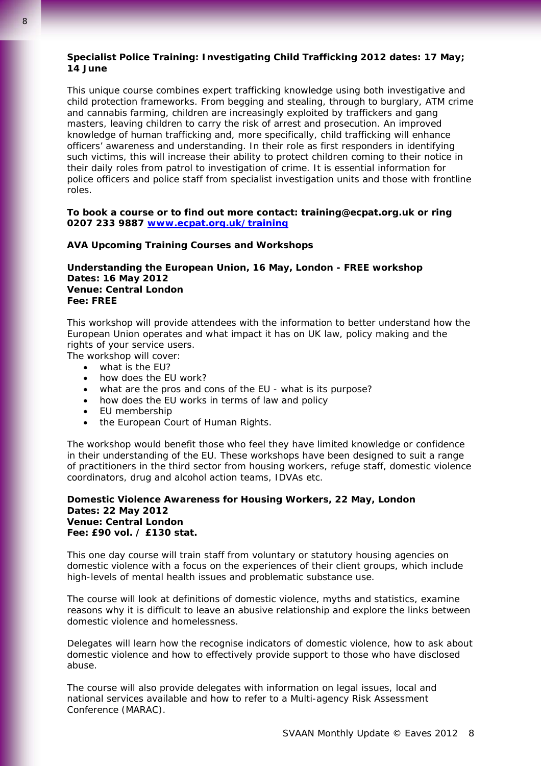# **Specialist Police Training: Investigating Child Trafficking 2012 dates: 17 May; 14 June**

This unique course combines expert trafficking knowledge using both investigative and child protection frameworks. From begging and stealing, through to burglary, ATM crime and cannabis farming, children are increasingly exploited by traffickers and gang masters, leaving children to carry the risk of arrest and prosecution. An improved knowledge of human trafficking and, more specifically, child trafficking will enhance officers' awareness and understanding. In their role as first responders in identifying such victims, this will increase their ability to protect children coming to their notice in their daily roles from patrol to investigation of crime. It is essential information for police officers and police staff from specialist investigation units and those with frontline roles.

#### **To book a course or to find out more contact: training@ecpat.org.uk or ring 0207 233 9887 [www.ecpat.org.uk/training](http://www.ecpat.org.uk/training)**

# **AVA Upcoming Training Courses and Workshops**

# **Understanding the European Union, 16 May, London - FREE workshop Dates: 16 May 2012 Venue: Central London Fee: FREE**

This workshop will provide attendees with the information to better understand how the European Union operates and what impact it has on UK law, policy making and the rights of your service users.

The workshop will cover:

- what is the EU?
- how does the EU work?
- what are the pros and cons of the EU what is its purpose?
- how does the EU works in terms of law and policy
- EU membership
- the European Court of Human Rights.

The workshop would benefit those who feel they have limited knowledge or confidence in their understanding of the EU. These workshops have been designed to suit a range of practitioners in the third sector from housing workers, refuge staff, domestic violence coordinators, drug and alcohol action teams, IDVAs etc.

# **Domestic Violence Awareness for Housing Workers, 22 May, London Dates: 22 May 2012 Venue: Central London Fee: £90 vol. / £130 stat.**

This one day course will train staff from voluntary or statutory housing agencies on domestic violence with a focus on the experiences of their client groups, which include high-levels of mental health issues and problematic substance use.

The course will look at definitions of domestic violence, myths and statistics, examine reasons why it is difficult to leave an abusive relationship and explore the links between domestic violence and homelessness.

Delegates will learn how the recognise indicators of domestic violence, how to ask about domestic violence and how to effectively provide support to those who have disclosed abuse.

The course will also provide delegates with information on legal issues, local and national services available and how to refer to a Multi-agency Risk Assessment Conference (MARAC).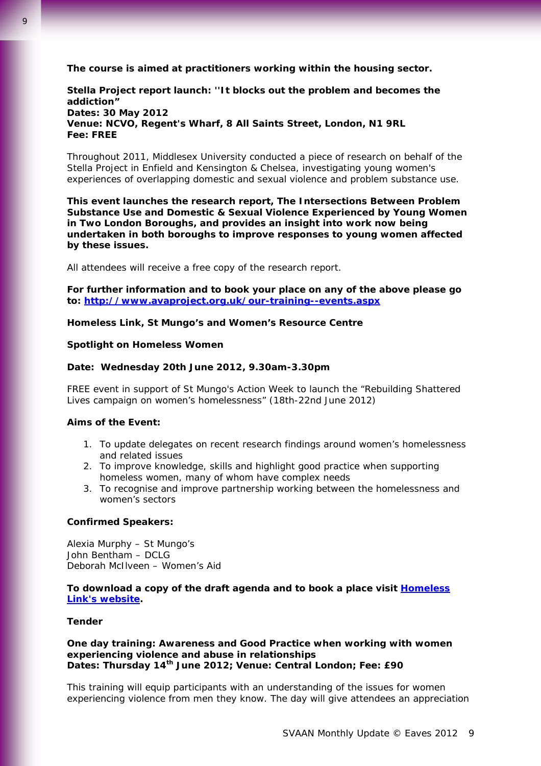**The course is aimed at practitioners working within the housing sector.**

**Stella Project report launch: ''It blocks out the problem and becomes the addiction" Dates: 30 May 2012 Venue: NCVO, Regent's Wharf, 8 All Saints Street, London, N1 9RL Fee: FREE**

Throughout 2011, Middlesex University conducted a piece of research on behalf of the Stella Project in Enfield and Kensington & Chelsea, investigating young women's experiences of overlapping domestic and sexual violence and problem substance use.

**This event launches the research report,** *The Intersections Between Problem Substance Use and Domestic & Sexual Violence Experienced by Young Women in Two London Boroughs***, and provides an insight into work now being undertaken in both boroughs to improve responses to young women affected by these issues.** 

All attendees will receive a free copy of the research report.

**For further information and to book your place on any of the above please go to: <http://www.avaproject.org.uk/our-training--events.aspx>** 

**Homeless Link, St Mungo's and Women's Resource Centre**

#### **Spotlight on Homeless Women**

#### **Date: Wednesday 20th June 2012, 9.30am-3.30pm**

FREE event in support of St Mungo's Action Week to launch the "Rebuilding Shattered Lives campaign on women's homelessness" (18th-22nd June 2012)

#### **Aims of the Event:**

- 1. To update delegates on recent research findings around women's homelessness and related issues
- 2. To improve knowledge, skills and highlight good practice when supporting homeless women, many of whom have complex needs
- 3. To recognise and improve partnership working between the homelessness and women's sectors

#### **Confirmed Speakers:**

Alexia Murphy – St Mungo's John Bentham – DCLG Deborah McIlveen – Women's Aid

**To download a copy of the draft agenda and to book a place visit [Homeless](http://homeless.org.uk/contact/spotlight-homeless-women)  [Link's website.](http://homeless.org.uk/contact/spotlight-homeless-women)** 

## **Tender**

**One day training: Awareness and Good Practice when working with women experiencing violence and abuse in relationships Dates: Thursday 14th June 2012; Venue: Central London; Fee: £90** 

This training will equip participants with an understanding of the issues for women experiencing violence from men they know. The day will give attendees an appreciation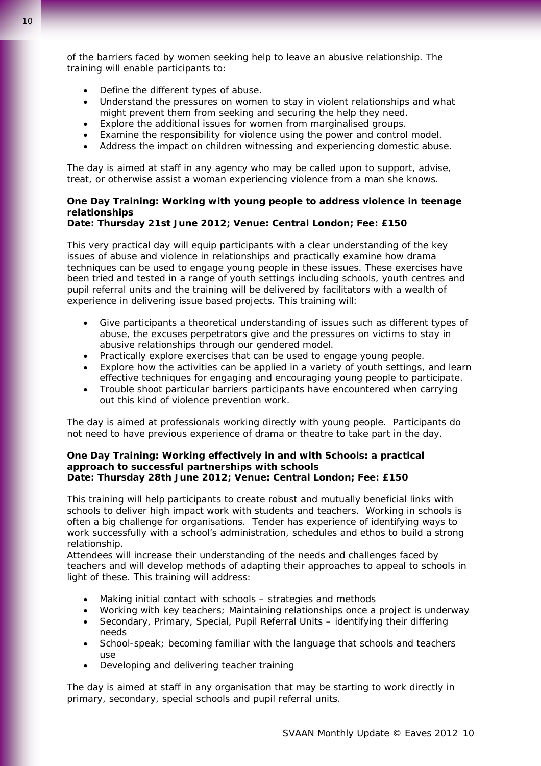- Define the different types of abuse.
- Understand the pressures on women to stay in violent relationships and what might prevent them from seeking and securing the help they need.
- Explore the additional issues for women from marginalised groups.
- Examine the responsibility for violence using the power and control model.
- Address the impact on children witnessing and experiencing domestic abuse.

The day is aimed at staff in any agency who may be called upon to support, advise, treat, or otherwise assist a woman experiencing violence from a man she knows.

# **One Day Training: Working with young people to address violence in teenage relationships**

# **Date: Thursday 21st June 2012; Venue: Central London; Fee: £150**

This very practical day will equip participants with a clear understanding of the key issues of abuse and violence in relationships and practically examine how drama techniques can be used to engage young people in these issues. These exercises have been tried and tested in a range of youth settings including schools, youth centres and pupil referral units and the training will be delivered by facilitators with a wealth of experience in delivering issue based projects. This training will:

- Give participants a theoretical understanding of issues such as different types of abuse, the excuses perpetrators give and the pressures on victims to stay in abusive relationships through our gendered model.
- Practically explore exercises that can be used to engage young people.
- Explore how the activities can be applied in a variety of youth settings, and learn effective techniques for engaging and encouraging young people to participate.
- Trouble shoot particular barriers participants have encountered when carrying out this kind of violence prevention work.

The day is aimed at professionals working directly with young people. Participants do not need to have previous experience of drama or theatre to take part in the day.

#### **One Day Training: Working effectively in and with Schools: a practical approach to successful partnerships with schools Date: Thursday 28th June 2012; Venue: Central London; Fee: £150**

This training will help participants to create robust and mutually beneficial links with schools to deliver high impact work with students and teachers. Working in schools is often a big challenge for organisations. Tender has experience of identifying ways to work successfully with a school's administration, schedules and ethos to build a strong relationship.

Attendees will increase their understanding of the needs and challenges faced by teachers and will develop methods of adapting their approaches to appeal to schools in light of these. This training will address:

- Making initial contact with schools strategies and methods
- Working with key teachers; Maintaining relationships once a project is underway
- Secondary, Primary, Special, Pupil Referral Units identifying their differing needs
- School-speak; becoming familiar with the language that schools and teachers use
- Developing and delivering teacher training

The day is aimed at staff in any organisation that may be starting to work directly in primary, secondary, special schools and pupil referral units.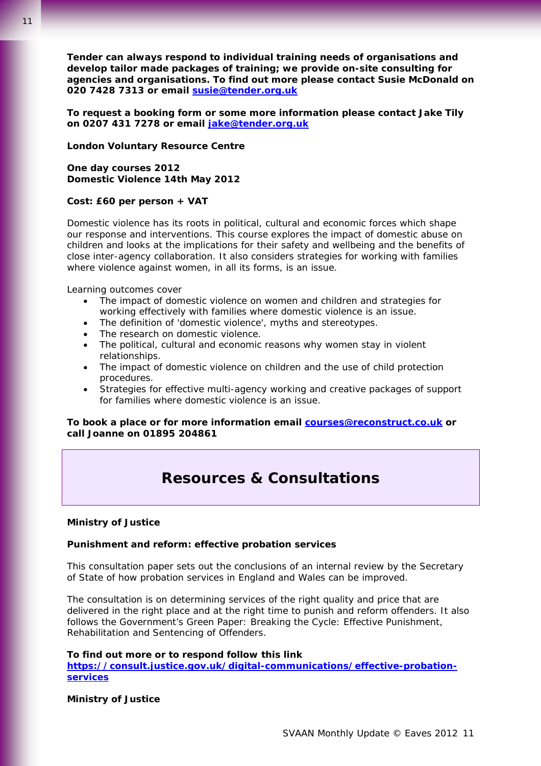11

**Tender can always respond to individual training needs of organisations and develop tailor made packages of training; we provide on-site consulting for agencies and organisations. To find out more please contact Susie McDonald on 020 7428 7313 or email [susie@tender.org.uk](mailto:susie@tender.org.uk)** 

**To request a booking form or some more information please contact Jake Tily on 0207 431 7278 or email [jake@tender.org.uk](mailto:jake@tender.org.uk)**

# **London Voluntary Resource Centre**

**One day courses 2012 Domestic Violence 14th May 2012** 

### **Cost: £60 per person + VAT**

Domestic violence has its roots in political, cultural and economic forces which shape our response and interventions. This course explores the impact of domestic abuse on children and looks at the implications for their safety and wellbeing and the benefits of close inter-agency collaboration. It also considers strategies for working with families where violence against women, in all its forms, is an issue.

Learning outcomes cover

- The impact of domestic violence on women and children and strategies for working effectively with families where domestic violence is an issue.
- The definition of 'domestic violence', myths and stereotypes.
- The research on domestic violence.
- The political, cultural and economic reasons why women stay in violent relationships.
- The impact of domestic violence on children and the use of child protection procedures.
- Strategies for effective multi-agency working and creative packages of support for families where domestic violence is an issue.

# **To book a place or for more information email [courses@reconstruct.co.uk](mailto:courses@reconstruct.co.uk?subject=Course%20code:%20DV140512) or call Joanne on 01895 204861**

# **Resources & Consultations**

# **Ministry of Justice**

# **Punishment and reform: effective probation services**

This consultation paper sets out the conclusions of an internal review by the Secretary of State of how probation services in England and Wales can be improved.

The consultation is on determining services of the right quality and price that are delivered in the right place and at the right time to punish and reform offenders. It also follows the Government's Green Paper: Breaking the Cycle: Effective Punishment, Rehabilitation and Sentencing of Offenders.

#### **To find out more or to respond follow this link**

**[https://consult.justice.gov.uk/digital-communications/effective-probation](https://consult.justice.gov.uk/digital-communications/effective-probation-services)[services](https://consult.justice.gov.uk/digital-communications/effective-probation-services)**

**Ministry of Justice**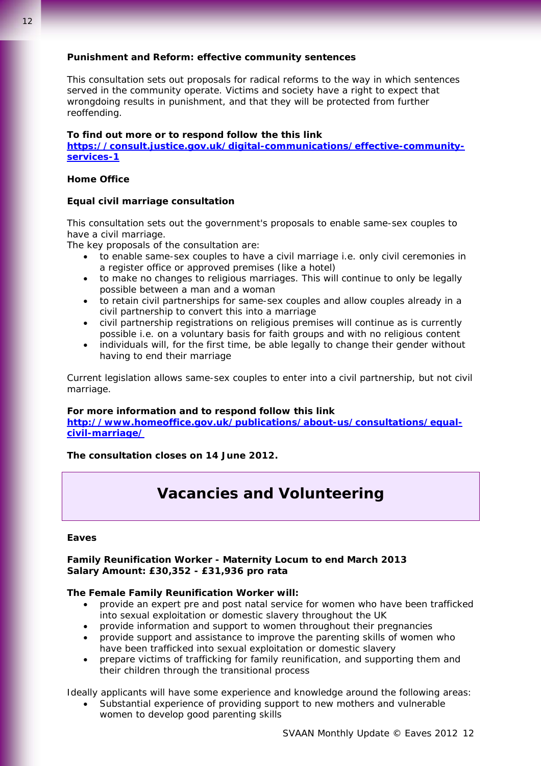This consultation sets out proposals for radical reforms to the way in which sentences served in the community operate. Victims and society have a right to expect that wrongdoing results in punishment, and that they will be protected from further reoffending.

# **To find out more or to respond follow the this link**

**[https://consult.justice.gov.uk/digital-communications/effective-community](https://consult.justice.gov.uk/digital-communications/effective-community-services-1)[services-1](https://consult.justice.gov.uk/digital-communications/effective-community-services-1)**

### **Home Office**

## **Equal civil marriage consultation**

This consultation sets out the government's proposals to enable same-sex couples to have a civil marriage.

The key proposals of the consultation are:

- to enable same-sex couples to have a civil marriage i.e. only civil ceremonies in a register office or approved premises (like a hotel)
- to make no changes to religious marriages. This will continue to only be legally possible between a man and a woman
- to retain civil partnerships for same-sex couples and allow couples already in a civil partnership to convert this into a marriage
- civil partnership registrations on religious premises will continue as is currently possible i.e. on a voluntary basis for faith groups and with no religious content
- individuals will, for the first time, be able legally to change their gender without having to end their marriage

Current legislation allows same-sex couples to enter into a civil partnership, but not civil marriage.

#### **For more information and to respond follow this link**

**[http://www.homeoffice.gov.uk/publications/about-us/consultations/equal](http://www.homeoffice.gov.uk/publications/about-us/consultations/equal-civil-marriage/)[civil-marriage/](http://www.homeoffice.gov.uk/publications/about-us/consultations/equal-civil-marriage/)**

**The consultation closes on 14 June 2012.**

# **Vacancies and Volunteering**

#### **Eaves**

### **Family Reunification Worker - Maternity Locum to end March 2013 Salary Amount: £30,352 - £31,936 pro rata**

# **The Female Family Reunification Worker will:**

- provide an expert pre and post natal service for women who have been trafficked into sexual exploitation or domestic slavery throughout the UK
- provide information and support to women throughout their pregnancies
- provide support and assistance to improve the parenting skills of women who have been trafficked into sexual exploitation or domestic slavery
- prepare victims of trafficking for family reunification, and supporting them and their children through the transitional process

Ideally applicants will have some experience and knowledge around the following areas:

Substantial experience of providing support to new mothers and vulnerable women to develop good parenting skills